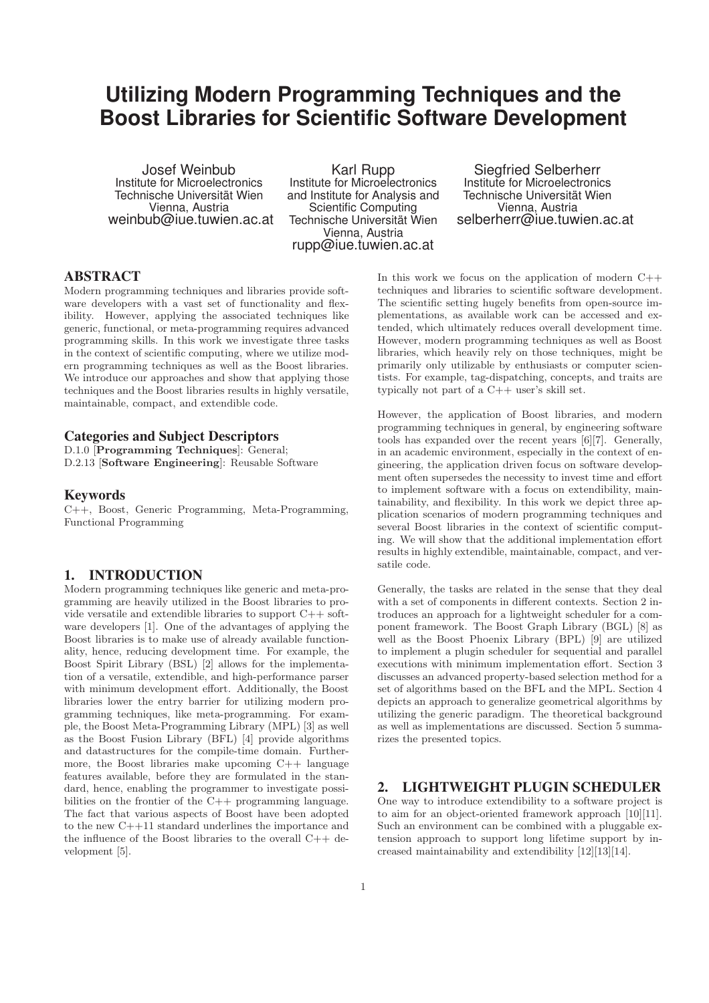# **Utilizing Modern Programming Techniques and the Boost Libraries for Scientific Software Development**

Josef Weinbub Institute for Microelectronics Technische Universität Wien Vienna, Austria weinbub@iue.tuwien.ac.at

Karl Rupp Institute for Microelectronics and Institute for Analysis and Scientific Computing Technische Universität Wien Vienna, Austria rupp@iue.tuwien.ac.at

Siegfried Selberherr Institute for Microelectronics Technische Universität Wien Vienna, Austria selberherr@iue.tuwien.ac.at

## **ABSTRACT**

Modern programming techniques and libraries provide software developers with a vast set of functionality and flexibility. However, applying the associated techniques like generic, functional, or meta-programming requires advanced programming skills. In this work we investigate three tasks in the context of scientific computing, where we utilize modern programming techniques as well as the Boost libraries. We introduce our approaches and show that applying those techniques and the Boost libraries results in highly versatile, maintainable, compact, and extendible code.

#### **Categories and Subject Descriptors**

D.1.0 [Programming Techniques]: General; D.2.13 [Software Engineering]: Reusable Software

### **Keywords**

C++, Boost, Generic Programming, Meta-Programming, Functional Programming

## **1. INTRODUCTION**

Modern programming techniques like generic and meta-programming are heavily utilized in the Boost libraries to provide versatile and extendible libraries to support C++ software developers [1]. One of the advantages of applying the Boost libraries is to make use of already available functionality, hence, reducing development time. For example, the Boost Spirit Library (BSL) [2] allows for the implementation of a versatile, extendible, and high-performance parser with minimum development effort. Additionally, the Boost libraries lower the entry barrier for utilizing modern programming techniques, like meta-programming. For example, the Boost Meta-Programming Library (MPL) [3] as well as the Boost Fusion Library (BFL) [4] provide algorithms and datastructures for the compile-time domain. Furthermore, the Boost libraries make upcoming C++ language features available, before they are formulated in the standard, hence, enabling the programmer to investigate possibilities on the frontier of the C++ programming language. The fact that various aspects of Boost have been adopted to the new C++11 standard underlines the importance and the influence of the Boost libraries to the overall C++ development [5].

In this work we focus on the application of modern  $C++$ techniques and libraries to scientific software development. The scientific setting hugely benefits from open-source implementations, as available work can be accessed and extended, which ultimately reduces overall development time. However, modern programming techniques as well as Boost libraries, which heavily rely on those techniques, might be primarily only utilizable by enthusiasts or computer scientists. For example, tag-dispatching, concepts, and traits are typically not part of a C++ user's skill set.

However, the application of Boost libraries, and modern programming techniques in general, by engineering software tools has expanded over the recent years [6][7]. Generally, in an academic environment, especially in the context of engineering, the application driven focus on software development often supersedes the necessity to invest time and effort to implement software with a focus on extendibility, maintainability, and flexibility. In this work we depict three application scenarios of modern programming techniques and several Boost libraries in the context of scientific computing. We will show that the additional implementation effort results in highly extendible, maintainable, compact, and versatile code.

Generally, the tasks are related in the sense that they deal with a set of components in different contexts. Section 2 introduces an approach for a lightweight scheduler for a component framework. The Boost Graph Library (BGL) [8] as well as the Boost Phoenix Library (BPL) [9] are utilized to implement a plugin scheduler for sequential and parallel executions with minimum implementation effort. Section 3 discusses an advanced property-based selection method for a set of algorithms based on the BFL and the MPL. Section 4 depicts an approach to generalize geometrical algorithms by utilizing the generic paradigm. The theoretical background as well as implementations are discussed. Section 5 summarizes the presented topics.

## **2. LIGHTWEIGHT PLUGIN SCHEDULER**

One way to introduce extendibility to a software project is to aim for an object-oriented framework approach [10][11]. Such an environment can be combined with a pluggable extension approach to support long lifetime support by increased maintainability and extendibility [12][13][14].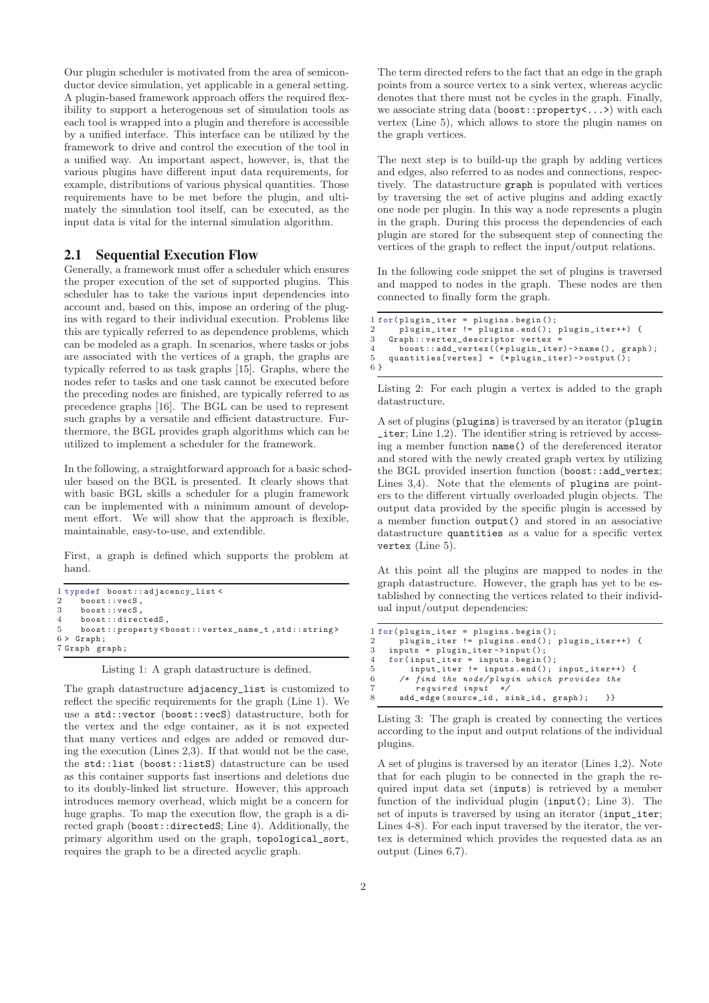Our plugin scheduler is motivated from the area of semiconductor device simulation, yet applicable in a general setting. A plugin-based framework approach offers the required flexibility to support a heterogenous set of simulation tools as each tool is wrapped into a plugin and therefore is accessible by a unified interface. This interface can be utilized by the framework to drive and control the execution of the tool in a unified way. An important aspect, however, is, that the various plugins have different input data requirements, for example, distributions of various physical quantities. Those requirements have to be met before the plugin, and ultimately the simulation tool itself, can be executed, as the input data is vital for the internal simulation algorithm.

## **2.1 Sequential Execution Flow**

Generally, a framework must offer a scheduler which ensures the proper execution of the set of supported plugins. This scheduler has to take the various input dependencies into account and, based on this, impose an ordering of the plugins with regard to their individual execution. Problems like this are typically referred to as dependence problems, which can be modeled as a graph. In scenarios, where tasks or jobs are associated with the vertices of a graph, the graphs are typically referred to as task graphs [15]. Graphs, where the nodes refer to tasks and one task cannot be executed before the preceding nodes are finished, are typically referred to as precedence graphs [16]. The BGL can be used to represent such graphs by a versatile and efficient datastructure. Furthermore, the BGL provides graph algorithms which can be utilized to implement a scheduler for the framework.

In the following, a straightforward approach for a basic scheduler based on the BGL is presented. It clearly shows that with basic BGL skills a scheduler for a plugin framework can be implemented with a minimum amount of development effort. We will show that the approach is flexible, maintainable, easy-to-use, and extendible.

First, a graph is defined which supports the problem at hand.

```
1 typedef boost :: adjacency_list <
\frac{2}{3} boost:: vecS,
      b \circ \sigmag \cdot \cdot \text{vac}4 boost :: directedS ,
5 boost :: property < boost :: vertex_name_t , std :: string >
6 > Graph;
7 Graph graph ;
```
Listing 1: A graph datastructure is defined.

The graph datastructure adjacency\_list is customized to reflect the specific requirements for the graph (Line 1). We use a std::vector (boost::vecS) datastructure, both for the vertex and the edge container, as it is not expected that many vertices and edges are added or removed during the execution (Lines 2,3). If that would not be the case, the std::list (boost::listS) datastructure can be used as this container supports fast insertions and deletions due to its doubly-linked list structure. However, this approach introduces memory overhead, which might be a concern for huge graphs. To map the execution flow, the graph is a directed graph (boost::directedS; Line 4). Additionally, the primary algorithm used on the graph, topological\_sort, requires the graph to be a directed acyclic graph.

The term directed refers to the fact that an edge in the graph points from a source vertex to a sink vertex, whereas acyclic denotes that there must not be cycles in the graph. Finally, we associate string data (boost::property<...>) with each vertex (Line 5), which allows to store the plugin names on the graph vertices.

The next step is to build-up the graph by adding vertices and edges, also referred to as nodes and connections, respectively. The datastructure graph is populated with vertices by traversing the set of active plugins and adding exactly one node per plugin. In this way a node represents a plugin in the graph. During this process the dependencies of each plugin are stored for the subsequent step of connecting the vertices of the graph to reflect the input/output relations.

In the following code snippet the set of plugins is traversed and mapped to nodes in the graph. These nodes are then connected to finally form the graph.

```
1 for (plugin_iter = plugins . begin ();<br>2 mlugin iter != plugins . end():
      plugin_iter != plugins . end (); plugin_iter++) {
3 Graph:: vertex_descriptor vertex
4 boost :: add_vertex((* plugin_iter)-> name () , graph );
5 quantities[vertex] = (*plugin_iter)->output();
6 }
```
Listing 2: For each plugin a vertex is added to the graph datastructure.

A set of plugins (plugins) is traversed by an iterator (plugin \_iter; Line 1,2). The identifier string is retrieved by accessing a member function name() of the dereferenced iterator and stored with the newly created graph vertex by utilizing the BGL provided insertion function (boost::add\_vertex; Lines 3,4). Note that the elements of plugins are pointers to the different virtually overloaded plugin objects. The output data provided by the specific plugin is accessed by a member function output() and stored in an associative datastructure quantities as a value for a specific vertex vertex (Line 5).

At this point all the plugins are mapped to nodes in the graph datastructure. However, the graph has yet to be established by connecting the vertices related to their individual input/output dependencies:

```
1 for (plugin_iter = plugins . begin ();<br>? plugin iter I = plugins end();
       2 plugin_iter != plugins . end (); plugin_iter++) {
3 inputs = plugin_iter -> input ();
4 for( input_iter = inputs . begin ();
5 input_iter != inputs . end (); input_iter++) {
6 /* find the node/plugin which provides the<br>7 required innut */
           .<br>required input
       8 add_edge ( source_id , sink_id , graph ); }}
```
Listing 3: The graph is created by connecting the vertices according to the input and output relations of the individual plugins.

A set of plugins is traversed by an iterator (Lines 1,2). Note that for each plugin to be connected in the graph the required input data set (inputs) is retrieved by a member function of the individual plugin (input(); Line 3). The set of inputs is traversed by using an iterator (input\_iter; Lines 4-8). For each input traversed by the iterator, the vertex is determined which provides the requested data as an output (Lines 6,7).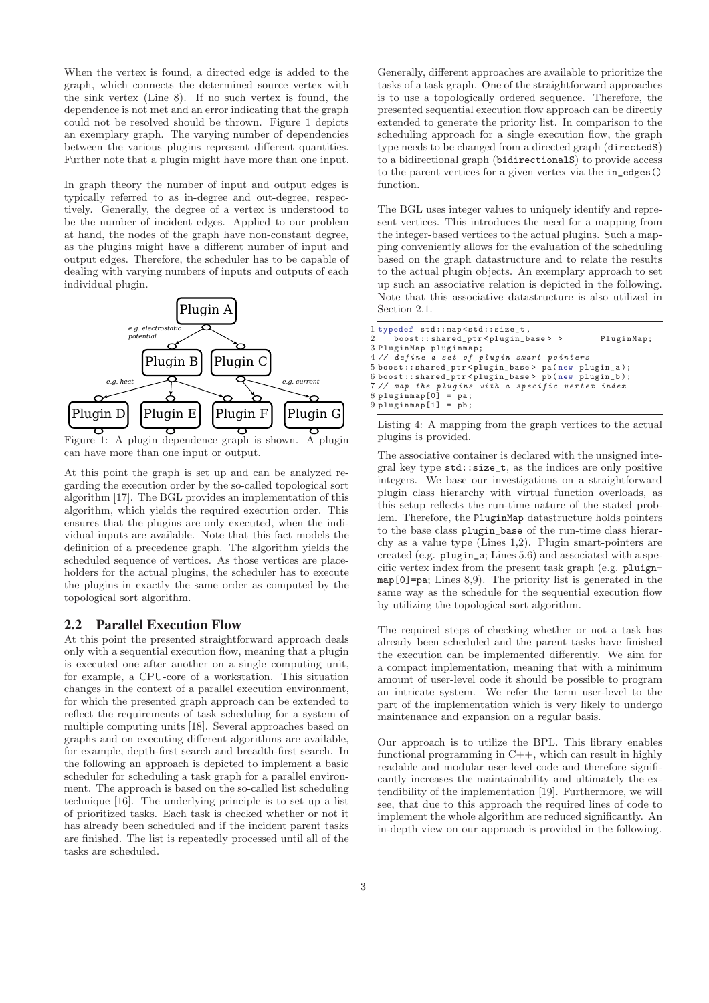When the vertex is found, a directed edge is added to the graph, which connects the determined source vertex with the sink vertex (Line 8). If no such vertex is found, the dependence is not met and an error indicating that the graph could not be resolved should be thrown. Figure 1 depicts an exemplary graph. The varying number of dependencies between the various plugins represent different quantities. Further note that a plugin might have more than one input.

In graph theory the number of input and output edges is typically referred to as in-degree and out-degree, respectively. Generally, the degree of a vertex is understood to be the number of incident edges. Applied to our problem at hand, the nodes of the graph have non-constant degree, as the plugins might have a different number of input and output edges. Therefore, the scheduler has to be capable of dealing with varying numbers of inputs and outputs of each individual plugin.



Figure 1: A plugin dependence graph is shown. A plugin can have more than one input or output.

At this point the graph is set up and can be analyzed regarding the execution order by the so-called topological sort algorithm [17]. The BGL provides an implementation of this algorithm, which yields the required execution order. This ensures that the plugins are only executed, when the individual inputs are available. Note that this fact models the definition of a precedence graph. The algorithm yields the scheduled sequence of vertices. As those vertices are placeholders for the actual plugins, the scheduler has to execute the plugins in exactly the same order as computed by the topological sort algorithm.

#### **2.2 Parallel Execution Flow**

At this point the presented straightforward approach deals only with a sequential execution flow, meaning that a plugin is executed one after another on a single computing unit, for example, a CPU-core of a workstation. This situation changes in the context of a parallel execution environment, for which the presented graph approach can be extended to reflect the requirements of task scheduling for a system of multiple computing units [18]. Several approaches based on graphs and on executing different algorithms are available, for example, depth-first search and breadth-first search. In the following an approach is depicted to implement a basic scheduler for scheduling a task graph for a parallel environment. The approach is based on the so-called list scheduling technique [16]. The underlying principle is to set up a list of prioritized tasks. Each task is checked whether or not it has already been scheduled and if the incident parent tasks are finished. The list is repeatedly processed until all of the tasks are scheduled.

Generally, different approaches are available to prioritize the tasks of a task graph. One of the straightforward approaches is to use a topologically ordered sequence. Therefore, the presented sequential execution flow approach can be directly extended to generate the priority list. In comparison to the scheduling approach for a single execution flow, the graph type needs to be changed from a directed graph (directedS) to a bidirectional graph (bidirectionalS) to provide access to the parent vertices for a given vertex via the in\_edges() function.

The BGL uses integer values to uniquely identify and represent vertices. This introduces the need for a mapping from the integer-based vertices to the actual plugins. Such a mapping conveniently allows for the evaluation of the scheduling based on the graph datastructure and to relate the results to the actual plugin objects. An exemplary approach to set up such an associative relation is depicted in the following. Note that this associative datastructure is also utilized in Section 2.1.

| l typedef std::map <std::size_t,<br>2 boost::shared_ptr<plugin_base> &gt;</plugin_base></std::size_t,<br> | PluginMap; |
|-----------------------------------------------------------------------------------------------------------|------------|
| 3 PluginMap pluginmap;                                                                                    |            |
| 4// define a set of plugin smart pointers                                                                 |            |
| 5 boost::shared_ptr <plugin_base> pa(new plugin_a);</plugin_base>                                         |            |
| 6 boost::shared_ptr <plugin_base> pb(new plugin_b);</plugin_base>                                         |            |
| 7// map the plugins with a specific vertex index                                                          |            |
| $8$ pluginmap $[0]$ = pa;                                                                                 |            |
| $9$ pluginmap $[1]$ = pb;                                                                                 |            |

Listing 4: A mapping from the graph vertices to the actual plugins is provided.

The associative container is declared with the unsigned integral key type std::size\_t, as the indices are only positive integers. We base our investigations on a straightforward plugin class hierarchy with virtual function overloads, as this setup reflects the run-time nature of the stated problem. Therefore, the PluginMap datastructure holds pointers to the base class plugin\_base of the run-time class hierarchy as a value type (Lines 1,2). Plugin smart-pointers are created (e.g. plugin\_a; Lines 5,6) and associated with a specific vertex index from the present task graph (e.g. pluignmap[0]=pa; Lines 8,9). The priority list is generated in the same way as the schedule for the sequential execution flow by utilizing the topological sort algorithm.

The required steps of checking whether or not a task has already been scheduled and the parent tasks have finished the execution can be implemented differently. We aim for a compact implementation, meaning that with a minimum amount of user-level code it should be possible to program an intricate system. We refer the term user-level to the part of the implementation which is very likely to undergo maintenance and expansion on a regular basis.

Our approach is to utilize the BPL. This library enables functional programming in C++, which can result in highly readable and modular user-level code and therefore significantly increases the maintainability and ultimately the extendibility of the implementation [19]. Furthermore, we will see, that due to this approach the required lines of code to implement the whole algorithm are reduced significantly. An in-depth view on our approach is provided in the following.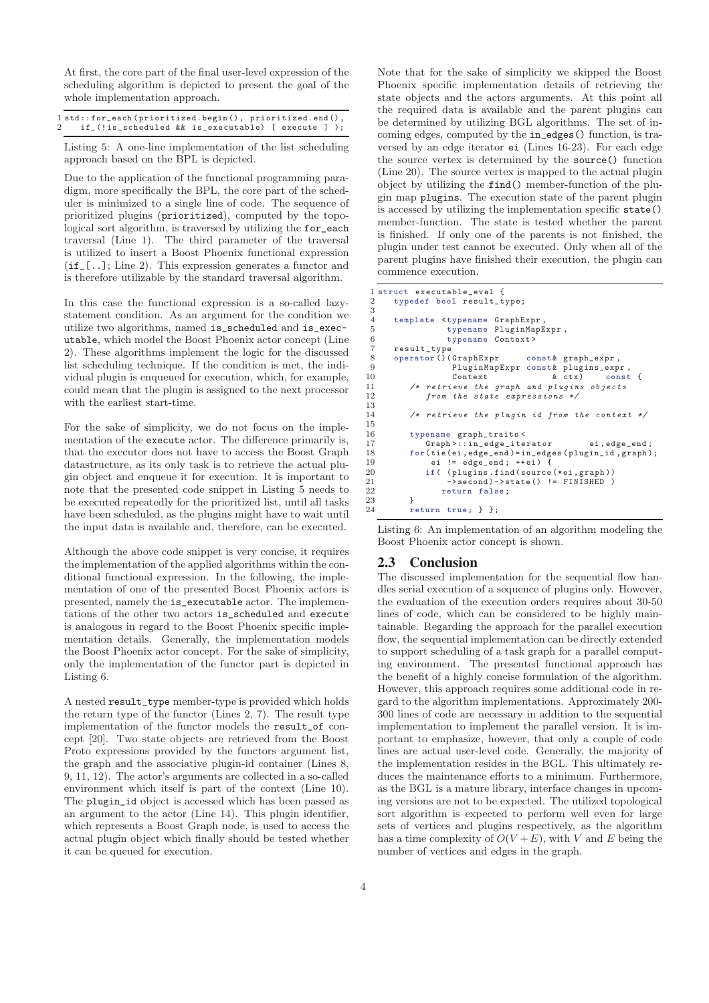At first, the core part of the final user-level expression of the scheduling algorithm is depicted to present the goal of the whole implementation approach.

| 1 std::for_each(prioritized.begin(), prioritized.end(), |  |  |  |
|---------------------------------------------------------|--|--|--|
| 2 if (!is scheduled && is executable) [ execute ] );    |  |  |  |

Listing 5: A one-line implementation of the list scheduling approach based on the BPL is depicted.

Due to the application of the functional programming paradigm, more specifically the BPL, the core part of the scheduler is minimized to a single line of code. The sequence of prioritized plugins (prioritized), computed by the topological sort algorithm, is traversed by utilizing the for\_each traversal (Line 1). The third parameter of the traversal is utilized to insert a Boost Phoenix functional expression (if\_[..]; Line 2). This expression generates a functor and is therefore utilizable by the standard traversal algorithm.

In this case the functional expression is a so-called lazystatement condition. As an argument for the condition we utilize two algorithms, named is\_scheduled and is\_executable, which model the Boost Phoenix actor concept (Line 2). These algorithms implement the logic for the discussed list scheduling technique. If the condition is met, the individual plugin is enqueued for execution, which, for example, could mean that the plugin is assigned to the next processor with the earliest start-time.

For the sake of simplicity, we do not focus on the implementation of the execute actor. The difference primarily is, that the executor does not have to access the Boost Graph datastructure, as its only task is to retrieve the actual plugin object and enqueue it for execution. It is important to note that the presented code snippet in Listing 5 needs to be executed repeatedly for the prioritized list, until all tasks have been scheduled, as the plugins might have to wait until the input data is available and, therefore, can be executed.

Although the above code snippet is very concise, it requires the implementation of the applied algorithms within the conditional functional expression. In the following, the implementation of one of the presented Boost Phoenix actors is presented, namely the is\_executable actor. The implementations of the other two actors is\_scheduled and execute is analogous in regard to the Boost Phoenix specific implementation details. Generally, the implementation models the Boost Phoenix actor concept. For the sake of simplicity, only the implementation of the functor part is depicted in Listing 6.

A nested result\_type member-type is provided which holds the return type of the functor (Lines 2, 7). The result type implementation of the functor models the result\_of concept [20]. Two state objects are retrieved from the Boost Proto expressions provided by the functors argument list, the graph and the associative plugin-id container (Lines 8, 9, 11, 12). The actor's arguments are collected in a so-called environment which itself is part of the context (Line 10). The plugin\_id object is accessed which has been passed as an argument to the actor (Line 14). This plugin identifier, which represents a Boost Graph node, is used to access the actual plugin object which finally should be tested whether it can be queued for execution.

Note that for the sake of simplicity we skipped the Boost Phoenix specific implementation details of retrieving the state objects and the actors arguments. At this point all the required data is available and the parent plugins can be determined by utilizing BGL algorithms. The set of incoming edges, computed by the in\_edges() function, is traversed by an edge iterator ei (Lines 16-23). For each edge the source vertex is determined by the source() function (Line 20). The source vertex is mapped to the actual plugin object by utilizing the find() member-function of the plugin map plugins. The execution state of the parent plugin is accessed by utilizing the implementation specific state() member-function. The state is tested whether the parent is finished. If only one of the parents is not finished, the plugin under test cannot be executed. Only when all of the parent plugins have finished their execution, the plugin can commence execution.

```
1 struct executable_eval {
       typedef bool result_type;
3
4 template <typename GraphExpr,<br>5 typename PluginMapE
                    5 typename PluginMapExpr ,
 6 typename Context >
 7 result_type<br>8 operator()(
 8 operator ()( GraphExpr const & graph_expr,<br>9 PluginMapExpr const & plugins_exp
                     PluginMapExpr const& plugins_expr,
10 Context \begin{array}{ccc} & & \& \text{ctx} \\ 11 & & \end{array} /* retrieve the graph and plugins objects
11 /* retrieve the graph and plugins objects<br>12 from the state expressions */from the state expressions */
13
14 /* retrieve the plugin id from the context */
15
16 typename graph_traits <
17 Graph >:: in_edge_iterator ei , edge_end ;
18 for(tie(ei,edge_end)=in_edges(plugin_id,graph);<br>19 ei != edge end: ++ei) {
                ei != edge\_end; ++ei) {
20 if ( ( plugins . find ( source (* ei , graph ) )<br>21 ->second ) ->state ( ) ! = FINISHED )
21 ->second)->state() != FINISHED<br>22 return false:
          return false;
23 }
24 return true; } };
```
Listing 6: An implementation of an algorithm modeling the Boost Phoenix actor concept is shown.

#### **2.3 Conclusion**

The discussed implementation for the sequential flow handles serial execution of a sequence of plugins only. However, the evaluation of the execution orders requires about 30-50 lines of code, which can be considered to be highly maintainable. Regarding the approach for the parallel execution flow, the sequential implementation can be directly extended to support scheduling of a task graph for a parallel computing environment. The presented functional approach has the benefit of a highly concise formulation of the algorithm. However, this approach requires some additional code in regard to the algorithm implementations. Approximately 200- 300 lines of code are necessary in addition to the sequential implementation to implement the parallel version. It is important to emphasize, however, that only a couple of code lines are actual user-level code. Generally, the majority of the implementation resides in the BGL. This ultimately reduces the maintenance efforts to a minimum. Furthermore, as the BGL is a mature library, interface changes in upcoming versions are not to be expected. The utilized topological sort algorithm is expected to perform well even for large sets of vertices and plugins respectively, as the algorithm has a time complexity of  $O(V + E)$ , with V and E being the number of vertices and edges in the graph.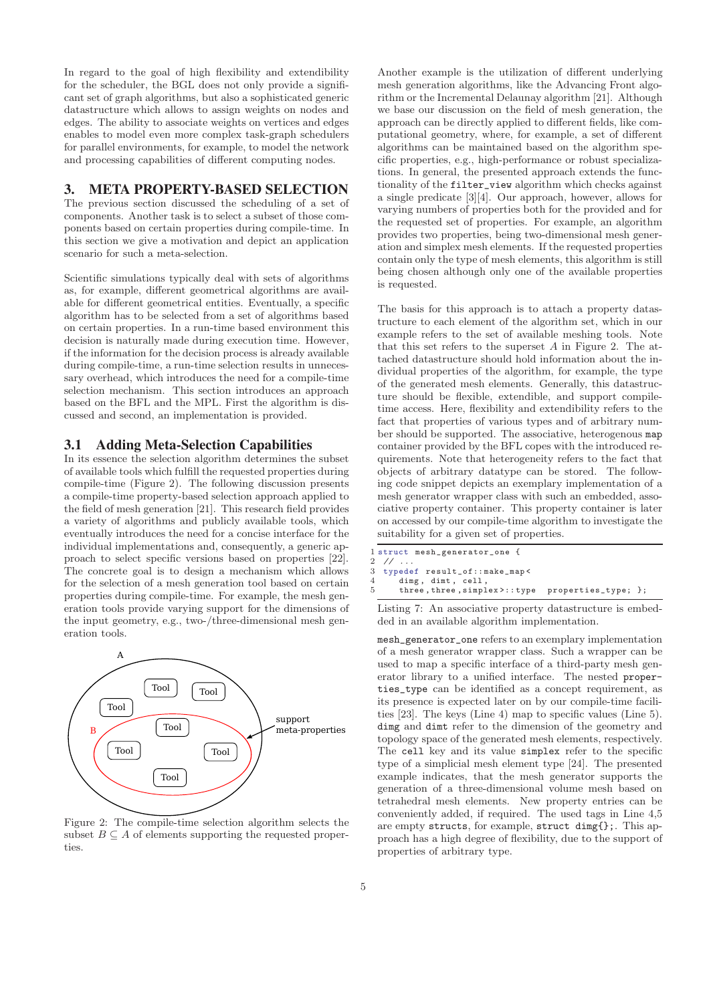In regard to the goal of high flexibility and extendibility for the scheduler, the BGL does not only provide a significant set of graph algorithms, but also a sophisticated generic datastructure which allows to assign weights on nodes and edges. The ability to associate weights on vertices and edges enables to model even more complex task-graph schedulers for parallel environments, for example, to model the network and processing capabilities of different computing nodes.

## **3. META PROPERTY-BASED SELECTION**

The previous section discussed the scheduling of a set of components. Another task is to select a subset of those components based on certain properties during compile-time. In this section we give a motivation and depict an application scenario for such a meta-selection.

Scientific simulations typically deal with sets of algorithms as, for example, different geometrical algorithms are available for different geometrical entities. Eventually, a specific algorithm has to be selected from a set of algorithms based on certain properties. In a run-time based environment this decision is naturally made during execution time. However, if the information for the decision process is already available during compile-time, a run-time selection results in unnecessary overhead, which introduces the need for a compile-time selection mechanism. This section introduces an approach based on the BFL and the MPL. First the algorithm is discussed and second, an implementation is provided.

#### **3.1 Adding Meta-Selection Capabilities**

In its essence the selection algorithm determines the subset of available tools which fulfill the requested properties during compile-time (Figure 2). The following discussion presents a compile-time property-based selection approach applied to the field of mesh generation [21]. This research field provides a variety of algorithms and publicly available tools, which eventually introduces the need for a concise interface for the individual implementations and, consequently, a generic approach to select specific versions based on properties [22]. The concrete goal is to design a mechanism which allows for the selection of a mesh generation tool based on certain properties during compile-time. For example, the mesh generation tools provide varying support for the dimensions of the input geometry, e.g., two-/three-dimensional mesh generation tools.



Figure 2: The compile-time selection algorithm selects the subset  $B \subseteq A$  of elements supporting the requested properties.

Another example is the utilization of different underlying mesh generation algorithms, like the Advancing Front algorithm or the Incremental Delaunay algorithm [21]. Although we base our discussion on the field of mesh generation, the approach can be directly applied to different fields, like computational geometry, where, for example, a set of different algorithms can be maintained based on the algorithm specific properties, e.g., high-performance or robust specializations. In general, the presented approach extends the functionality of the filter\_view algorithm which checks against a single predicate [3][4]. Our approach, however, allows for varying numbers of properties both for the provided and for the requested set of properties. For example, an algorithm provides two properties, being two-dimensional mesh generation and simplex mesh elements. If the requested properties contain only the type of mesh elements, this algorithm is still being chosen although only one of the available properties is requested.

The basis for this approach is to attach a property datastructure to each element of the algorithm set, which in our example refers to the set of available meshing tools. Note that this set refers to the superset  $A$  in Figure 2. The attached datastructure should hold information about the individual properties of the algorithm, for example, the type of the generated mesh elements. Generally, this datastructure should be flexible, extendible, and support compiletime access. Here, flexibility and extendibility refers to the fact that properties of various types and of arbitrary number should be supported. The associative, heterogenous map container provided by the BFL copes with the introduced requirements. Note that heterogeneity refers to the fact that objects of arbitrary datatype can be stored. The following code snippet depicts an exemplary implementation of a mesh generator wrapper class with such an embedded, associative property container. This property container is later on accessed by our compile-time algorithm to investigate the suitability for a given set of properties.

```
1 struct mesh_generator_one {
2 // ..<br>3 typed
  3 typedef result_of:: make_map <
4 dimg, dimt, cell,
      5 three , three , simplex >:: type properties_type; };
```
Listing 7: An associative property datastructure is embedded in an available algorithm implementation.

mesh\_generator\_one refers to an exemplary implementation of a mesh generator wrapper class. Such a wrapper can be used to map a specific interface of a third-party mesh generator library to a unified interface. The nested properties\_type can be identified as a concept requirement, as its presence is expected later on by our compile-time facilities [23]. The keys (Line 4) map to specific values (Line 5). dimg and dimt refer to the dimension of the geometry and topology space of the generated mesh elements, respectively. The cell key and its value simplex refer to the specific type of a simplicial mesh element type [24]. The presented example indicates, that the mesh generator supports the generation of a three-dimensional volume mesh based on tetrahedral mesh elements. New property entries can be conveniently added, if required. The used tags in Line 4,5 are empty structs, for example, struct dimg{};. This approach has a high degree of flexibility, due to the support of properties of arbitrary type.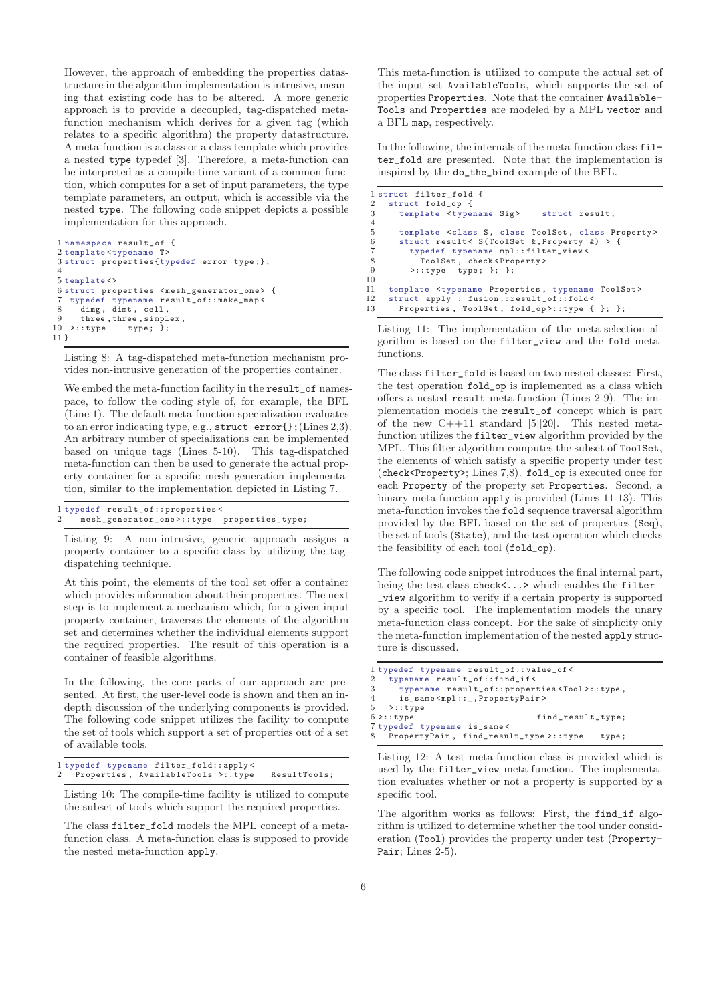However, the approach of embedding the properties datastructure in the algorithm implementation is intrusive, meaning that existing code has to be altered. A more generic approach is to provide a decoupled, tag-dispatched metafunction mechanism which derives for a given tag (which relates to a specific algorithm) the property datastructure. A meta-function is a class or a class template which provides a nested type typedef [3]. Therefore, a meta-function can be interpreted as a compile-time variant of a common function, which computes for a set of input parameters, the type template parameters, an output, which is accessible via the nested type. The following code snippet depicts a possible implementation for this approach.

```
1 namespace result_of {
 2 template < typename T>
 3 struct properties{ typedef error type ;};
4
 5 template <>
 6 struct properties <mesh_generator_one> {
    7 typedef typename result_of:: make_map <
 8 dimg, dimt, cell,
9 three, three, simplex \begin{bmatrix} 9 & 10 \\ 2 & 10 \end{bmatrix}>::type type; };
11 }
```
Listing 8: A tag-dispatched meta-function mechanism provides non-intrusive generation of the properties container.

We embed the meta-function facility in the result\_of namespace, to follow the coding style of, for example, the BFL (Line 1). The default meta-function specialization evaluates to an error indicating type, e.g., struct error{};(Lines 2,3). An arbitrary number of specializations can be implemented based on unique tags (Lines 5-10). This tag-dispatched meta-function can then be used to generate the actual property container for a specific mesh generation implementation, similar to the implementation depicted in Listing 7.

|  | l typedef result_of::properties<             |  |
|--|----------------------------------------------|--|
|  | 2 mesh_generator_one>::type properties_type; |  |

Listing 9: A non-intrusive, generic approach assigns a property container to a specific class by utilizing the tagdispatching technique.

At this point, the elements of the tool set offer a container which provides information about their properties. The next step is to implement a mechanism which, for a given input property container, traverses the elements of the algorithm set and determines whether the individual elements support the required properties. The result of this operation is a container of feasible algorithms.

In the following, the core parts of our approach are presented. At first, the user-level code is shown and then an indepth discussion of the underlying components is provided. The following code snippet utilizes the facility to compute the set of tools which support a set of properties out of a set of available tools.

|  | l typedef typename filter_fold::apply< |              |
|--|----------------------------------------|--------------|
|  | 2 Properties, AvailableTools >::type   | ResultTools; |

Listing 10: The compile-time facility is utilized to compute the subset of tools which support the required properties.

The class filter\_fold models the MPL concept of a metafunction class. A meta-function class is supposed to provide the nested meta-function apply.

This meta-function is utilized to compute the actual set of the input set AvailableTools, which supports the set of properties Properties. Note that the container Available-Tools and Properties are modeled by a MPL vector and a BFL map, respectively.

In the following, the internals of the meta-function class filter\_fold are presented. Note that the implementation is inspired by the do\_the\_bind example of the BFL.

```
1 struct filter_fold {
2 struct fold_op {<br>3 template <type
        template <typename Sig> struct result;
 4
5 template <class S, class ToolSet, class Property><br>6 struct result< S(ToolSet & Property &) > {
 6 struct result < S( ToolSet &, Property &) > {
7 typedef typename mpl :: filter_view <
8 ToolSet, check <Property><br>9 >::type type; }; };
           >:: type type; }; };
10
11 template <typename Properties , typename ToolSet >
12 struct apply : fusion :: result_of:: fold <
13 Properties, ToolSet, fold_op>::type { }; };
```
Listing 11: The implementation of the meta-selection algorithm is based on the filter\_view and the fold metafunctions.

The class filter\_fold is based on two nested classes: First, the test operation fold\_op is implemented as a class which offers a nested result meta-function (Lines 2-9). The implementation models the result\_of concept which is part of the new  $C++11$  standard  $[5][20]$ . This nested metafunction utilizes the filter\_view algorithm provided by the MPL. This filter algorithm computes the subset of ToolSet, the elements of which satisfy a specific property under test (check<Property>; Lines 7,8). fold\_op is executed once for each Property of the property set Properties. Second, a binary meta-function apply is provided (Lines 11-13). This meta-function invokes the fold sequence traversal algorithm provided by the BFL based on the set of properties (Seq), the set of tools (State), and the test operation which checks the feasibility of each tool (fold\_op).

The following code snippet introduces the final internal part, being the test class check<...> which enables the filter \_view algorithm to verify if a certain property is supported by a specific tool. The implementation models the unary meta-function class concept. For the sake of simplicity only the meta-function implementation of the nested apply structure is discussed.

```
1 typedef typename result_of:: value_of <
2 typename result_of:: find_if <
3 typename result_of:: properties < Tool >:: type,<br>4 is same < mpl:: . PropertyPair >
4 is_same < mpl ::_ , PropertyPair >
    5 >:: type
6 > : :type find_result_type;
7 typedef typename is_same <
8 PropertyPair , find_result_type >:: type type ;
```
Listing 12: A test meta-function class is provided which is used by the filter\_view meta-function. The implementation evaluates whether or not a property is supported by a specific tool.

The algorithm works as follows: First, the find\_if algorithm is utilized to determine whether the tool under consideration (Tool) provides the property under test (Property-Pair; Lines 2-5).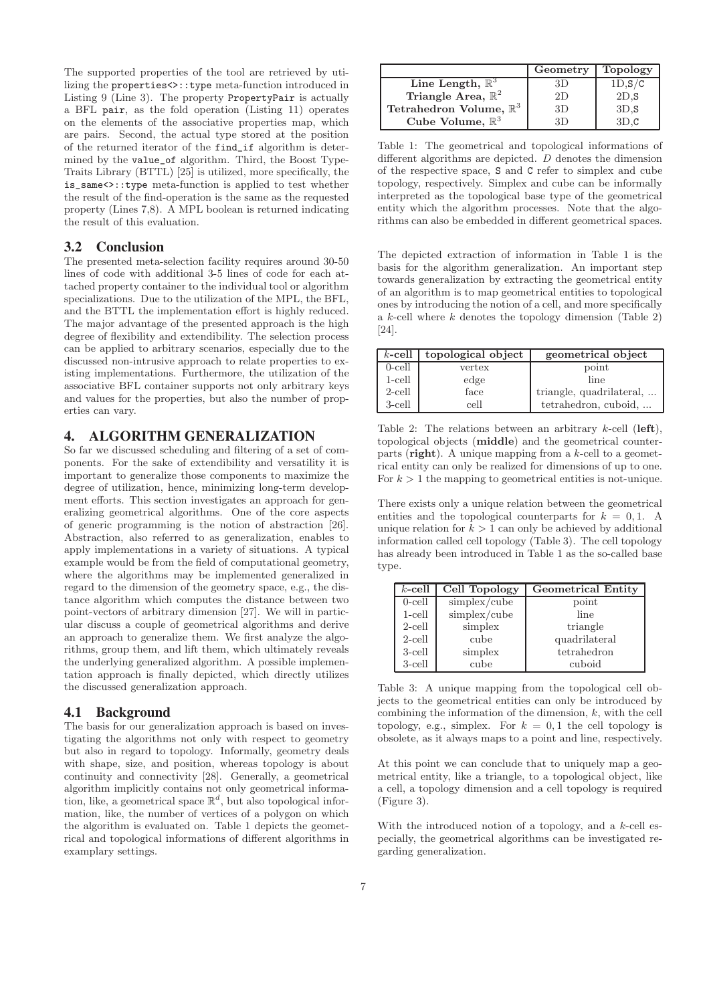The supported properties of the tool are retrieved by utilizing the properties<>::type meta-function introduced in Listing 9 (Line 3). The property PropertyPair is actually a BFL pair, as the fold operation (Listing 11) operates on the elements of the associative properties map, which are pairs. Second, the actual type stored at the position of the returned iterator of the find\_if algorithm is determined by the value\_of algorithm. Third, the Boost Type-Traits Library (BTTL) [25] is utilized, more specifically, the is\_same<>::type meta-function is applied to test whether the result of the find-operation is the same as the requested property (Lines 7,8). A MPL boolean is returned indicating the result of this evaluation.

#### **3.2 Conclusion**

The presented meta-selection facility requires around 30-50 lines of code with additional 3-5 lines of code for each attached property container to the individual tool or algorithm specializations. Due to the utilization of the MPL, the BFL, and the BTTL the implementation effort is highly reduced. The major advantage of the presented approach is the high degree of flexibility and extendibility. The selection process can be applied to arbitrary scenarios, especially due to the discussed non-intrusive approach to relate properties to existing implementations. Furthermore, the utilization of the associative BFL container supports not only arbitrary keys and values for the properties, but also the number of properties can vary.

## **4. ALGORITHM GENERALIZATION**

So far we discussed scheduling and filtering of a set of components. For the sake of extendibility and versatility it is important to generalize those components to maximize the degree of utilization, hence, minimizing long-term development efforts. This section investigates an approach for generalizing geometrical algorithms. One of the core aspects of generic programming is the notion of abstraction [26]. Abstraction, also referred to as generalization, enables to apply implementations in a variety of situations. A typical example would be from the field of computational geometry, where the algorithms may be implemented generalized in regard to the dimension of the geometry space, e.g., the distance algorithm which computes the distance between two point-vectors of arbitrary dimension [27]. We will in particular discuss a couple of geometrical algorithms and derive an approach to generalize them. We first analyze the algorithms, group them, and lift them, which ultimately reveals the underlying generalized algorithm. A possible implementation approach is finally depicted, which directly utilizes the discussed generalization approach.

### **4.1 Background**

The basis for our generalization approach is based on investigating the algorithms not only with respect to geometry but also in regard to topology. Informally, geometry deals with shape, size, and position, whereas topology is about continuity and connectivity [28]. Generally, a geometrical algorithm implicitly contains not only geometrical information, like, a geometrical space  $\mathbb{R}^d$ , but also topological information, like, the number of vertices of a polygon on which the algorithm is evaluated on. Table 1 depicts the geometrical and topological informations of different algorithms in examplary settings.

|                                    | Geometry | <b>Topology</b> |
|------------------------------------|----------|-----------------|
| Line Length, $\mathbb{R}^3$        | 3D       | 1D, S/C         |
| Triangle Area, $\mathbb{R}^2$      | 2D       | 2D.S            |
| Tetrahedron Volume, $\mathbb{R}^3$ | 3D       | 3D.S            |
| Cube Volume, $\mathbb{R}^3$        | -31)     | 3D.C            |

Table 1: The geometrical and topological informations of different algorithms are depicted. D denotes the dimension of the respective space, S and C refer to simplex and cube topology, respectively. Simplex and cube can be informally interpreted as the topological base type of the geometrical entity which the algorithm processes. Note that the algorithms can also be embedded in different geometrical spaces.

The depicted extraction of information in Table 1 is the basis for the algorithm generalization. An important step towards generalization by extracting the geometrical entity of an algorithm is to map geometrical entities to topological ones by introducing the notion of a cell, and more specifically a  $k$ -cell where  $k$  denotes the topology dimension (Table 2) [24].

| $k$ -cell | topological object | geometrical object       |
|-----------|--------------------|--------------------------|
| $0$ -cell | vertex             | point                    |
| $1$ -cell | edge               | line                     |
| $2$ -cell | face               | triangle, quadrilateral, |
| 3-cell    | cell               | tetrahedron, cuboid,     |

Table 2: The relations between an arbitrary  $k$ -cell (left), topological objects (middle) and the geometrical counterparts (right). A unique mapping from a  $k$ -cell to a geometrical entity can only be realized for dimensions of up to one. For  $k > 1$  the mapping to geometrical entities is not-unique.

There exists only a unique relation between the geometrical entities and the topological counterparts for  $k = 0, 1$ . A unique relation for  $k > 1$  can only be achieved by additional information called cell topology (Table 3). The cell topology has already been introduced in Table 1 as the so-called base type.

| $k$ -cell | Cell Topology | <b>Geometrical Entity</b> |
|-----------|---------------|---------------------------|
| $0$ -cell | simplex/cube  | point                     |
| $1$ -cell | simplex/cube  | line                      |
| $2$ -cell | simplex       | triangle                  |
| $2$ -cell | cube          | quadrilateral             |
| 3-cell    | simplex       | tetrahedron               |
| 3-cell    | cube          | cuboid                    |

Table 3: A unique mapping from the topological cell objects to the geometrical entities can only be introduced by combining the information of the dimension, k, with the cell topology, e.g., simplex. For  $k = 0.1$  the cell topology is obsolete, as it always maps to a point and line, respectively.

At this point we can conclude that to uniquely map a geometrical entity, like a triangle, to a topological object, like a cell, a topology dimension and a cell topology is required (Figure 3).

With the introduced notion of a topology, and a  $k$ -cell especially, the geometrical algorithms can be investigated regarding generalization.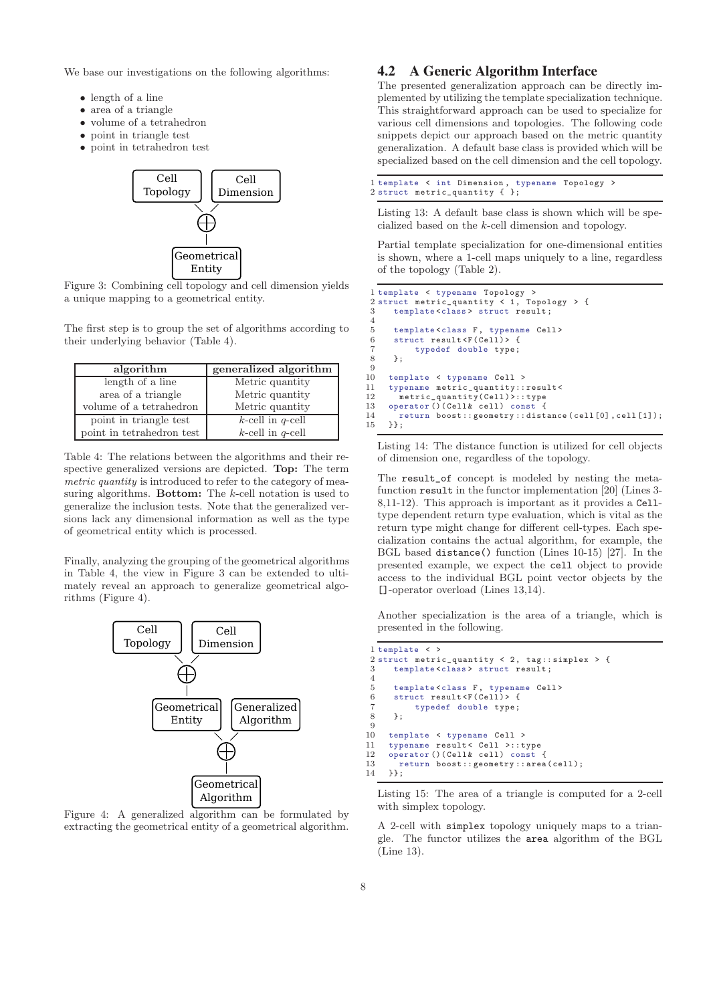We base our investigations on the following algorithms:

- length of a line
- area of a triangle
- volume of a tetrahedron
- point in triangle test
- point in tetrahedron test



Figure 3: Combining cell topology and cell dimension yields a unique mapping to a geometrical entity.

The first step is to group the set of algorithms according to their underlying behavior (Table 4).

| algorithm                 | generalized algorithm |
|---------------------------|-----------------------|
| length of a line          | Metric quantity       |
| area of a triangle        | Metric quantity       |
| volume of a tetrahedron   | Metric quantity       |
| point in triangle test    | $k$ -cell in q-cell   |
| point in tetrahedron test | $k$ -cell in q-cell   |

Table 4: The relations between the algorithms and their respective generalized versions are depicted. Top: The term metric quantity is introduced to refer to the category of measuring algorithms. **Bottom:** The k-cell notation is used to generalize the inclusion tests. Note that the generalized versions lack any dimensional information as well as the type of geometrical entity which is processed.

Finally, analyzing the grouping of the geometrical algorithms in Table 4, the view in Figure 3 can be extended to ultimately reveal an approach to generalize geometrical algorithms (Figure 4).



Figure 4: A generalized algorithm can be formulated by extracting the geometrical entity of a geometrical algorithm.

# **4.2 A Generic Algorithm Interface**

The presented generalization approach can be directly implemented by utilizing the template specialization technique. This straightforward approach can be used to specialize for various cell dimensions and topologies. The following code snippets depict our approach based on the metric quantity generalization. A default base class is provided which will be specialized based on the cell dimension and the cell topology.

|  |  |                                   | 1 template < int Dimension, typename Topology > |  |
|--|--|-----------------------------------|-------------------------------------------------|--|
|  |  | 2 struct metric_quantity $\{\}$ ; |                                                 |  |

Listing 13: A default base class is shown which will be specialized based on the k-cell dimension and topology.

Partial template specialization for one-dimensional entities is shown, where a 1-cell maps uniquely to a line, regardless of the topology (Table 2).

```
1 template < typename Topology >
2 struct metric_quantity < 1, Topology > {
3 template <class > struct result ;
 4
 5 template<class F, typename Cell>
 6 struct result <F(Cell)> {
 7 typedef double type ;
 8 };
 9
10 template < typename Cell >
11 typename metric_quantity::result<<br>12 metric quantity(Cell)>::type
        metric_quantity(Cell)>:: type
13 operator () (Cell& cell) const {
14 return boost:: geometry:: distance ( cell [0], cell [1]);
15 }};
```
Listing 14: The distance function is utilized for cell objects of dimension one, regardless of the topology.

The result\_of concept is modeled by nesting the metafunction result in the functor implementation [20] (Lines 3- 8,11-12). This approach is important as it provides a Celltype dependent return type evaluation, which is vital as the return type might change for different cell-types. Each specialization contains the actual algorithm, for example, the BGL based distance() function (Lines 10-15) [27]. In the presented example, we expect the cell object to provide access to the individual BGL point vector objects by the []-operator overload (Lines 13,14).

Another specialization is the area of a triangle, which is presented in the following.

```
1 template < >
2 struct metric_quantity < 2, tag::simplex > {<br>3 template <class > struct result:
       template<class> struct result;
 4
 5 template<class F, typename Cell><br>6 struct result<F(Cell)> {
 6 struct result \langle F(Ce11) \rangle {<br>7 typedef double type:
             typedef double type;
8 };
9
10 template < typename Cell >
11 typename result< Cell >::type<br>12 operator()(Cell& cell) const
      operator ()(Cell& cell) const {
13 return boost:: geometry:: area ( cell );
14 }};
```
Listing 15: The area of a triangle is computed for a 2-cell with simplex topology.

A 2-cell with simplex topology uniquely maps to a triangle. The functor utilizes the area algorithm of the BGL (Line 13).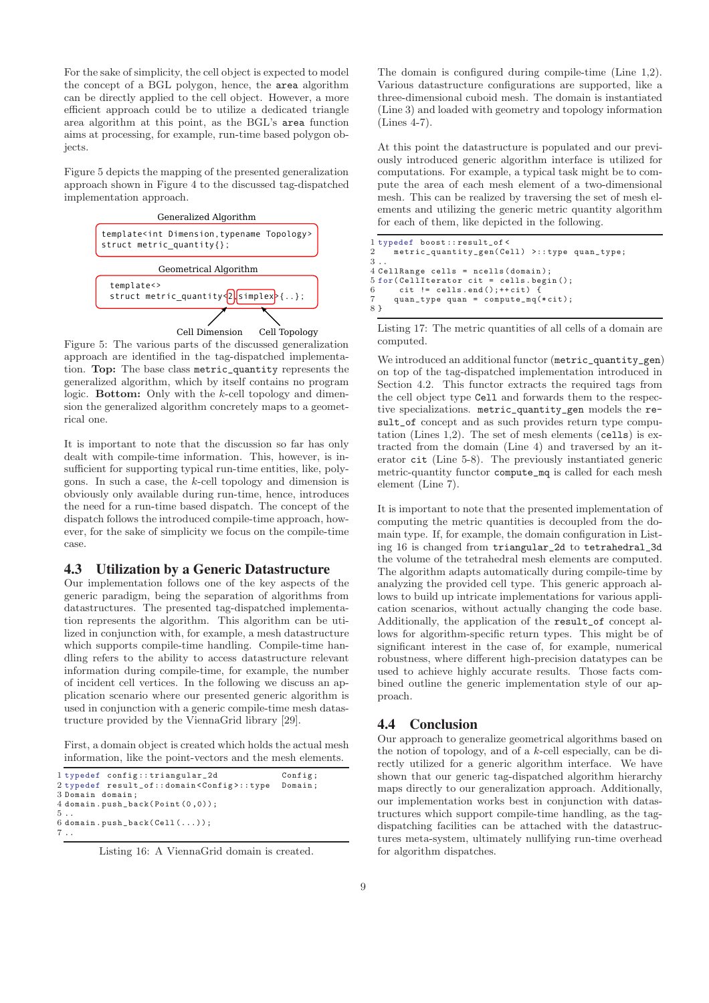For the sake of simplicity, the cell object is expected to model the concept of a BGL polygon, hence, the area algorithm can be directly applied to the cell object. However, a more efficient approach could be to utilize a dedicated triangle area algorithm at this point, as the BGL's area function aims at processing, for example, run-time based polygon objects.

Figure 5 depicts the mapping of the presented generalization approach shown in Figure 4 to the discussed tag-dispatched implementation approach.



Figure 5: The various parts of the discussed generalization approach are identified in the tag-dispatched implementation. Top: The base class metric\_quantity represents the generalized algorithm, which by itself contains no program logic. **Bottom:** Only with the k-cell topology and dimension the generalized algorithm concretely maps to a geometrical one.

It is important to note that the discussion so far has only dealt with compile-time information. This, however, is insufficient for supporting typical run-time entities, like, polygons. In such a case, the k-cell topology and dimension is obviously only available during run-time, hence, introduces the need for a run-time based dispatch. The concept of the dispatch follows the introduced compile-time approach, however, for the sake of simplicity we focus on the compile-time case.

#### **4.3 Utilization by a Generic Datastructure**

Our implementation follows one of the key aspects of the generic paradigm, being the separation of algorithms from datastructures. The presented tag-dispatched implementation represents the algorithm. This algorithm can be utilized in conjunction with, for example, a mesh datastructure which supports compile-time handling. Compile-time handling refers to the ability to access datastructure relevant information during compile-time, for example, the number of incident cell vertices. In the following we discuss an application scenario where our presented generic algorithm is used in conjunction with a generic compile-time mesh datastructure provided by the ViennaGrid library [29].

First, a domain object is created which holds the actual mesh information, like the point-vectors and the mesh elements.

```
1 typedef config:: triangular_2d Config;
2 typedef result_of:: domain < Config >:: type Domain ;
3 Domain domain ;
4 domain . push_back( Point (0 ,0));
5 ..
6 domain.push_back(Cell ( \ldots ));
7 ..
```
Listing 16: A ViennaGrid domain is created.

The domain is configured during compile-time (Line 1,2). Various datastructure configurations are supported, like a three-dimensional cuboid mesh. The domain is instantiated (Line 3) and loaded with geometry and topology information (Lines 4-7).

At this point the datastructure is populated and our previously introduced generic algorithm interface is utilized for computations. For example, a typical task might be to compute the area of each mesh element of a two-dimensional mesh. This can be realized by traversing the set of mesh elements and utilizing the generic metric quantity algorithm for each of them, like depicted in the following.

```
1 typedef boost :: result_of <
     2 metric_quantity_gen( Cell ) >:: type quan_type;
3 ..
4 CellRange cells = ncells ( domain );
5 for (CellIterator cit = cells.begin ();<br>6 cit != cells.end();++cit) {
       \text{cit} != cells.end (); ++cit) {
7 quan_type quan = compute_mq(* cit );
8 }
```
Listing 17: The metric quantities of all cells of a domain are computed.

We introduced an additional functor (metric\_quantity\_gen) on top of the tag-dispatched implementation introduced in Section 4.2. This functor extracts the required tags from the cell object type Cell and forwards them to the respective specializations. metric\_quantity\_gen models the result\_of concept and as such provides return type computation (Lines 1,2). The set of mesh elements (cells) is extracted from the domain (Line 4) and traversed by an iterator cit (Line 5-8). The previously instantiated generic metric-quantity functor compute\_mq is called for each mesh element (Line 7).

It is important to note that the presented implementation of computing the metric quantities is decoupled from the domain type. If, for example, the domain configuration in Listing 16 is changed from triangular\_2d to tetrahedral\_3d the volume of the tetrahedral mesh elements are computed. The algorithm adapts automatically during compile-time by analyzing the provided cell type. This generic approach allows to build up intricate implementations for various application scenarios, without actually changing the code base. Additionally, the application of the result\_of concept allows for algorithm-specific return types. This might be of significant interest in the case of, for example, numerical robustness, where different high-precision datatypes can be used to achieve highly accurate results. Those facts combined outline the generic implementation style of our approach.

## **4.4 Conclusion**

Our approach to generalize geometrical algorithms based on the notion of topology, and of a k-cell especially, can be directly utilized for a generic algorithm interface. We have shown that our generic tag-dispatched algorithm hierarchy maps directly to our generalization approach. Additionally, our implementation works best in conjunction with datastructures which support compile-time handling, as the tagdispatching facilities can be attached with the datastructures meta-system, ultimately nullifying run-time overhead for algorithm dispatches.